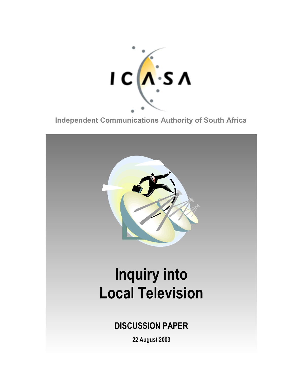

**Independent Communications Authority of South Africa**

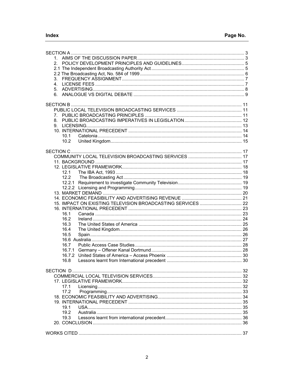| 2.                                                          |  |  |  |  |
|-------------------------------------------------------------|--|--|--|--|
|                                                             |  |  |  |  |
|                                                             |  |  |  |  |
| 3.                                                          |  |  |  |  |
|                                                             |  |  |  |  |
|                                                             |  |  |  |  |
| 6.                                                          |  |  |  |  |
|                                                             |  |  |  |  |
|                                                             |  |  |  |  |
|                                                             |  |  |  |  |
| $7_{\scriptscriptstyle{\sim}}$                              |  |  |  |  |
| 8.                                                          |  |  |  |  |
| 9.                                                          |  |  |  |  |
|                                                             |  |  |  |  |
| 10.1                                                        |  |  |  |  |
| 10.2                                                        |  |  |  |  |
|                                                             |  |  |  |  |
|                                                             |  |  |  |  |
|                                                             |  |  |  |  |
|                                                             |  |  |  |  |
|                                                             |  |  |  |  |
| 12.1                                                        |  |  |  |  |
| 12.2                                                        |  |  |  |  |
|                                                             |  |  |  |  |
|                                                             |  |  |  |  |
|                                                             |  |  |  |  |
|                                                             |  |  |  |  |
| 15. IMPACT ON EXISTING TELEVISION BROADCASTING SERVICES  22 |  |  |  |  |
|                                                             |  |  |  |  |
| 16.1                                                        |  |  |  |  |
| 16.2                                                        |  |  |  |  |
| 16.3                                                        |  |  |  |  |
| 16.4                                                        |  |  |  |  |
| 16.5                                                        |  |  |  |  |
|                                                             |  |  |  |  |
| 16.7                                                        |  |  |  |  |
|                                                             |  |  |  |  |
| 16.7.2                                                      |  |  |  |  |
| 16.8                                                        |  |  |  |  |
|                                                             |  |  |  |  |
|                                                             |  |  |  |  |
|                                                             |  |  |  |  |
|                                                             |  |  |  |  |
| 17.1                                                        |  |  |  |  |
|                                                             |  |  |  |  |
|                                                             |  |  |  |  |
|                                                             |  |  |  |  |
| 19.1                                                        |  |  |  |  |
| 19.2                                                        |  |  |  |  |
| 19.3                                                        |  |  |  |  |
|                                                             |  |  |  |  |
|                                                             |  |  |  |  |
|                                                             |  |  |  |  |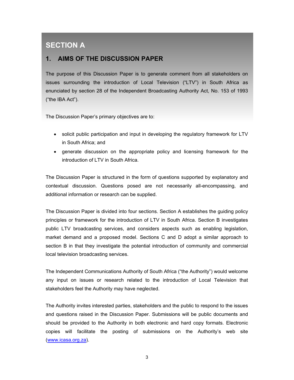# **SECTION A**

### **1. AIMS OF THE DISCUSSION PAPER**

The purpose of this Discussion Paper is to generate comment from all stakeholders on issues surrounding the introduction of Local Television ("LTV") in South Africa as enunciated by section 28 of the Independent Broadcasting Authority Act, No. 153 of 1993 ("the IBA Act").

The Discussion Paper's primary objectives are to:

- solicit public participation and input in developing the regulatory framework for LTV in South Africa; and
- generate discussion on the appropriate policy and licensing framework for the introduction of LTV in South Africa.

The Discussion Paper is structured in the form of questions supported by explanatory and contextual discussion. Questions posed are not necessarily all-encompassing, and additional information or research can be supplied.

The Discussion Paper is divided into four sections. Section A establishes the guiding policy principles or framework for the introduction of LTV in South Africa. Section B investigates public LTV broadcasting services, and considers aspects such as enabling legislation, market demand and a proposed model. Sections C and D adopt a similar approach to section B in that they investigate the potential introduction of community and commercial local television broadcasting services.

The Independent Communications Authority of South Africa ("the Authority") would welcome any input on issues or research related to the introduction of Local Television that stakeholders feel the Authority may have neglected.

The Authority invites interested parties, stakeholders and the public to respond to the issues and questions raised in the Discussion Paper. Submissions will be public documents and should be provided to the Authority in both electronic and hard copy formats. Electronic copies will facilitate the posting of submissions on the Authority's web site (www.icasa.org.za).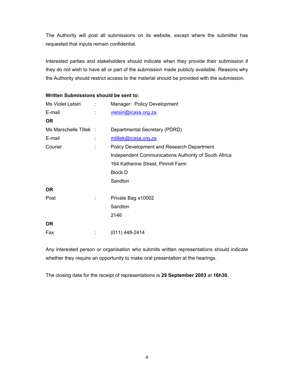The Authority will post all submissions on its website, except where the submitter has requested that inputs remain confidential.

Interested parties and stakeholders should indicate when they provide their submission if they do not wish to have all or part of the submission made publicly available. Reasons why the Authority should restrict access to the material should be provided with the submission.

| Ms Violet Letsiri      | ÷ | Manager: Policy Development                          |
|------------------------|---|------------------------------------------------------|
| E-mail                 |   | vletsiri@icasa.org.za                                |
| <b>OR</b>              |   |                                                      |
| Ms Marschelle Tillek : |   | Departmental Secretary (PDRD)                        |
| E-mail                 |   | mtillek@icasa.org.za                                 |
| Courier                |   | Policy Development and Research Department           |
|                        |   | Independent Communications Authority of South Africa |
|                        |   | 164 Katherine Street, Pinmill Farm                   |
|                        |   | <b>Block D</b>                                       |
|                        |   | Sandton                                              |
| OR.                    |   |                                                      |
| Post                   |   | Private Bag x10002                                   |
|                        |   | Sandton                                              |
|                        |   | 2146                                                 |
| <b>OR</b>              |   |                                                      |
| Fax                    |   | (011) 448-2414                                       |

**Written Submissions should be sent to:** 

Any interested person or organisation who submits written representations should indicate whether they require an opportunity to make oral presentation at the hearings.

The closing date for the receipt of representations is **29 September 2003** at **16h30.**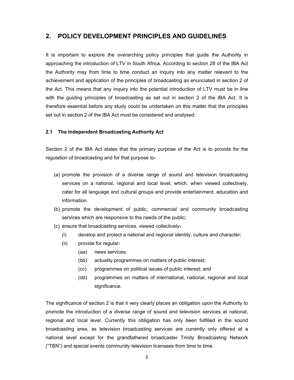### **2. POLICY DEVELOPMENT PRINCIPLES AND GUIDELINES**

It is important to explore the overarching policy principles that guide the Authority in approaching the introduction of LTV in South Africa. According to section 28 of the IBA Act the Authority may from time to time conduct an inquiry into any matter relevant to the achievement and application of the principles of broadcasting as enunciated in section 2 of the Act. This means that any inquiry into the potential introduction of LTV must be in line with the guiding principles of broadcasting as set out in section 2 of the IBA Act. It is therefore essential before any study could be undertaken on this matter that the principles set out in section 2 of the IBA Act must be considered and analysed.

#### **2.1 The Independent Broadcasting Authority Act**

Section 2 of the IBA Act states that the primary purpose of the Act is to provide for the regulation of broadcasting and for that purpose to-

- (a) promote the provision of a diverse range of sound and television broadcasting services on a national, regional and local level, which, when viewed collectively, cater for all language and cultural groups and provide entertainment, education and information.
- (b) promote the development of public, commercial and community broadcasting services which are responsive to the needs of the public;
- (c) ensure that broadcasting services, viewed collectively-
	- (i) develop and protect a national and regional identity, culture and character;
	- (ii) provide for regular-
		- (aa) news services;
		- (bb) actuality programmes on matters of public interest;
		- (cc) programmes on political issues of public interest; and
		- (dd) programmes on matters of international, national, regional and local significance.

The significance of section 2 is that it very clearly places an obligation upon the Authority to promote the introduction of a diverse range of sound and television services at national, regional and local level. Currently this obligation has only been fulfilled in the sound broadcasting area, as television broadcasting services are currently only offered at a national level except for the grandfathered broadcaster Trinity Broadcasting Network ("TBN") and special events community television licensees from time to time.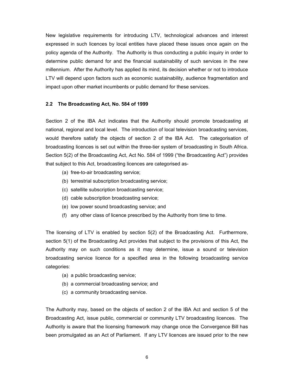New legislative requirements for introducing LTV, technological advances and interest expressed in such licences by local entities have placed these issues once again on the policy agenda of the Authority. The Authority is thus conducting a public inquiry in order to determine public demand for and the financial sustainability of such services in the new millennium. After the Authority has applied its mind, its decision whether or not to introduce LTV will depend upon factors such as economic sustainability, audience fragmentation and impact upon other market incumbents or public demand for these services.

#### **2.2 The Broadcasting Act, No. 584 of 1999**

Section 2 of the IBA Act indicates that the Authority should promote broadcasting at national, regional and local level. The introduction of local television broadcasting services, would therefore satisfy the objects of section 2 of the IBA Act. The categorisation of broadcasting licences is set out within the three-tier system of broadcasting in South Africa. Section 5(2) of the Broadcasting Act, Act No. 584 of 1999 ("the Broadcasting Act") provides that subject to this Act, broadcasting licences are categorised as-

- (a) free-to-air broadcasting service;
- (b) terrestrial subscription broadcasting service;
- (c) satellite subscription broadcasting service;
- (d) cable subscription broadcasting service;
- (e) low power sound broadcasting service; and
- (f) any other class of licence prescribed by the Authority from time to time.

The licensing of LTV is enabled by section 5(2) of the Broadcasting Act. Furthermore, section 5(1) of the Broadcasting Act provides that subject to the provisions of this Act, the Authority may on such conditions as it may determine, issue a sound or television broadcasting service licence for a specified area in the following broadcasting service categories:

- (a) a public broadcasting service;
- (b) a commercial broadcasting service; and
- (c) a community broadcasting service.

The Authority may, based on the objects of section 2 of the IBA Act and section 5 of the Broadcasting Act, issue public, commercial or community LTV broadcasting licences. The Authority is aware that the licensing framework may change once the Convergence Bill has been promulgated as an Act of Parliament. If any LTV licences are issued prior to the new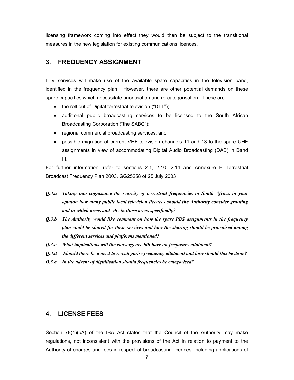licensing framework coming into effect they would then be subject to the transitional measures in the new legislation for existing communications licences.

### **3. FREQUENCY ASSIGNMENT**

LTV services will make use of the available spare capacities in the television band, identified in the frequency plan. However, there are other potential demands on these spare capacities which necessitate prioritisation and re-categorisation. These are:

- the roll-out of Digital terrestrial television ("DTT");
- additional public broadcasting services to be licensed to the South African Broadcasting Corporation ("the SABC");
- regional commercial broadcasting services; and
- possible migration of current VHF television channels 11 and 13 to the spare UHF assignments in view of accommodating Digital Audio Broadcasting (DAB) in Band III.

For further information, refer to sections 2.1, 2.10, 2.14 and Annexure E Terrestrial Broadcast Frequency Plan 2003, GG25258 of 25 July 2003

- *Q.3.a Taking into cognisance the scarcity of terrestrial frequencies in South Africa, in your opinion how many public local television licences should the Authority consider granting and in which areas and why in those areas specifically?*
- *Q.3.b The Authority would like comment on how the spare PBS assignments in the frequency plan could be shared for these services and how the sharing should be prioritised among the different services and platforms mentioned?*
- *Q.3.c What implications will the convergence bill have on frequency allotment?*
- *Q.3.d Should there be a need to re-categorise frequency allotment and how should this be done?*
- *Q.3.e In the advent of digitilisation should frequencies be categorised?*

### **4. LICENSE FEES**

Section 78(1)(bA) of the IBA Act states that the Council of the Authority may make regulations, not inconsistent with the provisions of the Act in relation to payment to the Authority of charges and fees in respect of broadcasting licences, including applications of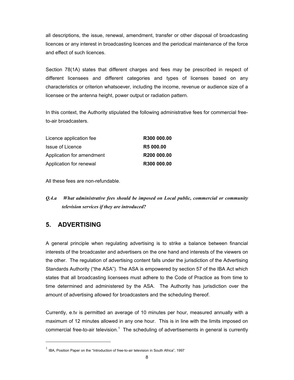all descriptions, the issue, renewal, amendment, transfer or other disposal of broadcasting licences or any interest in broadcasting licences and the periodical maintenance of the force and effect of such licences.

Section 78(1A) states that different charges and fees may be prescribed in respect of different licensees and different categories and types of licenses based on any characteristics or criterion whatsoever, including the income, revenue or audience size of a licensee or the antenna height, power output or radiation pattern.

In this context, the Authority stipulated the following administrative fees for commercial freeto-air broadcasters.

| Licence application fee   | R300 000.00             |
|---------------------------|-------------------------|
| Issue of Licence          | <b>R5 000.00</b>        |
| Application for amendment | R <sub>200</sub> 000.00 |
| Application for renewal   | R300 000.00             |

All these fees are non-refundable.

*Q.4.a What administrative fees should be imposed on Local public, commercial or community television services if they are introduced?* 

### **5. ADVERTISING**

 $\overline{a}$ 

A general principle when regulating advertising is to strike a balance between financial interests of the broadcaster and advertisers on the one hand and interests of the viewers on the other. The regulation of advertising content falls under the jurisdiction of the Advertising Standards Authority ("the ASA"). The ASA is empowered by section 57 of the IBA Act which states that all broadcasting licensees must adhere to the Code of Practice as from time to time determined and administered by the ASA. The Authority has jurisdiction over the amount of advertising allowed for broadcasters and the scheduling thereof.

Currently, e.tv is permitted an average of 10 minutes per hour, measured annually with a maximum of 12 minutes allowed in any one hour. This is in line with the limits imposed on commercial free-to-air television.<sup>1</sup> The scheduling of advertisements in general is currently

 $<sup>1</sup>$  IBA, Position Paper on the "Introduction of free-to-air television in South Africa", 1997</sup>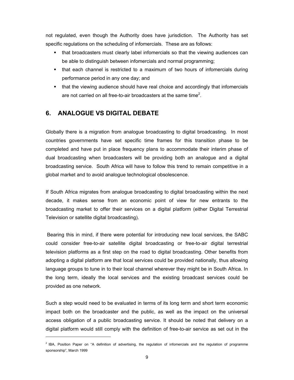not regulated, even though the Authority does have jurisdiction. The Authority has set specific regulations on the scheduling of infomercials. These are as follows:

- that broadcasters must clearly label infomercials so that the viewing audiences can be able to distinguish between infomercials and normal programming;
- that each channel is restricted to a maximum of two hours of infomercials during performance period in any one day; and
- that the viewing audience should have real choice and accordingly that infomercials are not carried on all free-to-air broadcasters at the same time<sup>2</sup>.

### **6. ANALOGUE VS DIGITAL DEBATE**

 $\overline{a}$ 

Globally there is a migration from analogue broadcasting to digital broadcasting. In most countries governments have set specific time frames for this transition phase to be completed and have put in place frequency plans to accommodate their interim phase of dual broadcasting when broadcasters will be providing both an analogue and a digital broadcasting service. South Africa will have to follow this trend to remain competitive in a global market and to avoid analogue technological obsolescence.

If South Africa migrates from analogue broadcasting to digital broadcasting within the next decade, it makes sense from an economic point of view for new entrants to the broadcasting market to offer their services on a digital platform (either Digital Terrestrial Television or satellite digital broadcasting).

 Bearing this in mind, if there were potential for introducing new local services, the SABC could consider free-to-air satellite digital broadcasting or free-to-air digital terrestrial television platforms as a first step on the road to digital broadcasting. Other benefits from adopting a digital platform are that local services could be provided nationally, thus allowing language groups to tune in to their local channel wherever they might be in South Africa. In the long term, ideally the local services and the existing broadcast services could be provided as one network.

Such a step would need to be evaluated in terms of its long term and short term economic impact both on the broadcaster and the public, as well as the impact on the universal access obligation of a public broadcasting service. It should be noted that delivery on a digital platform would still comply with the definition of free-to-air service as set out in the

 $<sup>2</sup>$  IBA, Position Paper on "A definition of advertising, the regulation of infomercials and the regulation of programme</sup> sponsorship", March 1999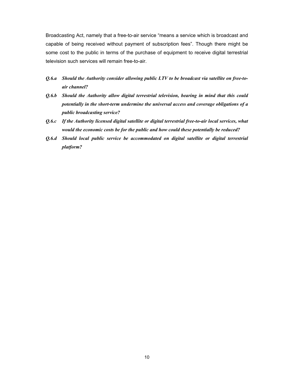Broadcasting Act, namely that a free-to-air service "means a service which is broadcast and capable of being received without payment of subscription fees". Though there might be some cost to the public in terms of the purchase of equipment to receive digital terrestrial television such services will remain free-to-air.

- *Q.6.a Should the Authority consider allowing public LTV to be broadcast via satellite on free-toair channel?*
- *Q.6.b Should the Authority allow digital terrestrial television, bearing in mind that this could potentially in the short-term undermine the universal access and coverage obligations of a public broadcasting service?*
- *Q.6.c If the Authority licensed digital satellite or digital terrestrial free-to-air local services, what would the economic costs be for the public and how could these potentially be reduced?*
- *Q.6.d Should local public service be accommodated on digital satellite or digital terrestrial platform?*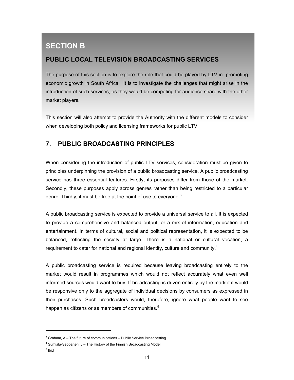# **SECTION B**

### **PUBLIC LOCAL TELEVISION BROADCASTING SERVICES**

The purpose of this section is to explore the role that could be played by LTV in promoting economic growth in South Africa. It is to investigate the challenges that might arise in the introduction of such services, as they would be competing for audience share with the other market players.

This section will also attempt to provide the Authority with the different models to consider when developing both policy and licensing frameworks for public LTV.

### **7. PUBLIC BROADCASTING PRINCIPLES**

When considering the introduction of public LTV services, consideration must be given to principles underpinning the provision of a public broadcasting service. A public broadcasting service has three essential features. Firstly, its purposes differ from those of the market. Secondly, these purposes apply across genres rather than being restricted to a particular genre. Thirdly, it must be free at the point of use to everyone.<sup>3</sup>

A public broadcasting service is expected to provide a universal service to all. It is expected to provide a comprehensive and balanced output, or a mix of information, education and entertainment. In terms of cultural, social and political representation, it is expected to be balanced, reflecting the society at large. There is a national or cultural vocation, a requirement to cater for national and regional identity, culture and community.<sup>4</sup>

A public broadcasting service is required because leaving broadcasting entirely to the market would result in programmes which would not reflect accurately what even well informed sources would want to buy. If broadcasting is driven entirely by the market it would be responsive only to the aggregate of individual decisions by consumers as expressed in their purchases. Such broadcasters would, therefore, ignore what people want to see happen as citizens or as members of communities.<sup>5</sup>

5 Ibid

 $\overline{a}$ 

 $3$  Graham, A – The future of communications – Public Service Broadcasting

 $4$  Sumiala-Seppanen, J – The History of the Finnish Broadcasting Model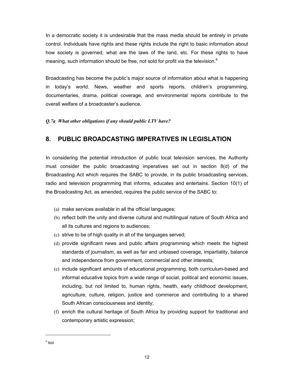In a democratic society it is undesirable that the mass media should be entirely in private control. Individuals have rights and these rights include the right to basic information about how society is governed, what are the laws of the land, etc. For these rights to have meaning, such information should be free, not sold for profit via the television.<sup>6</sup>

Broadcasting has become the public's major source of information about what is happening in today's world. News, weather and sports reports, children's programming, documentaries, drama, political coverage, and environmental reports contribute to the overall welfare of a broadcaster's audience.

#### *Q.7a What other obligations if any should public LTV have?*

### **8. PUBLIC BROADCASTING IMPERATIVES IN LEGISLATION**

In considering the potential introduction of public local television services, the Authority must consider the public broadcasting imperatives set out in section 8(d) of the Broadcasting Act which requires the SABC to provide, in its public broadcasting services, radio and television programming that informs, educates and entertains. Section 10(1) of the Broadcasting Act, as amended, requires the public service of the SABC to:

- (a) make services available in all the official languages;
- (b) reflect both the unity and diverse cultural and multilingual nature of South Africa and all its cultures and regions to audiences;
- (c) strive to be of high quality in all of the languages served;
- (d) provide significant news and public affairs programming which meets the highest standards of journalism, as well as fair and unbiased coverage, impartiality, balance and independence from government, commercial and other interests;
- (e) include significant amounts of educational programming, both curriculum-based and informal educative topics from a wide range of social, political and economic issues, including, but not limited to, human rights, health, early childhood development, agriculture, culture, religion, justice and commerce and contributing to a shared South African consciousness and identity;
- (f) enrich the cultural heritage of South Africa by providing support for traditional and contemporary artistic expression;

 $\overline{a}$ 

<sup>&</sup>lt;sup>6</sup> Ibid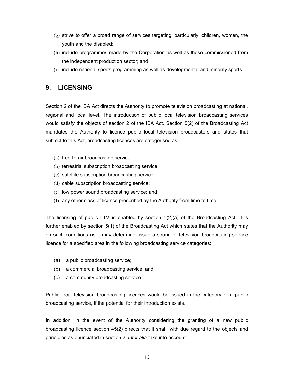- $(g)$  strive to offer a broad range of services targeting, particularly, children, women, the youth and the disabled;
- (h) include programmes made by the Corporation as well as those commissioned from the independent production sector; and
- (i) include national sports programming as well as developmental and minority sports.

### **9. LICENSING**

Section 2 of the IBA Act directs the Authority to promote television broadcasting at national, regional and local level. The introduction of public local television broadcasting services would satisfy the objects of section 2 of the IBA Act. Section 5(2) of the Broadcasting Act mandates the Authority to licence public local television broadcasters and states that subject to this Act, broadcasting licences are categorised as-

- (a) free-to-air broadcasting service;
- (b) terrestrial subscription broadcasting service;
- (c) satellite subscription broadcasting service;
- (d) cable subscription broadcasting service;
- (e) low power sound broadcasting service; and
- (f) any other class of licence prescribed by the Authority from time to time.

The licensing of public LTV is enabled by section  $5(2)(a)$  of the Broadcasting Act. It is further enabled by section 5(1) of the Broadcasting Act which states that the Authority may on such conditions as it may determine, issue a sound or television broadcasting service licence for a specified area in the following broadcasting service categories:

- (a) a public broadcasting service;
- (b) a commercial broadcasting service; and
- (c) a community broadcasting service.

Public local television broadcasting licences would be issued in the category of a public broadcasting service, if the potential for their introduction exists.

In addition, in the event of the Authority considering the granting of a new public broadcasting licence section 45(2) directs that it shall, with due regard to the objects and principles as enunciated in section 2, *inter alia* take into account-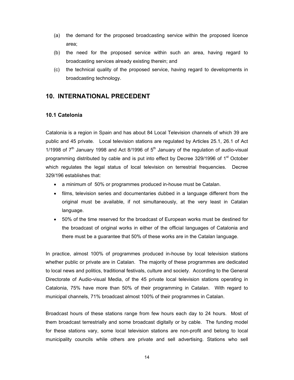- (a) the demand for the proposed broadcasting service within the proposed licence area;
- (b) the need for the proposed service within such an area, having regard to broadcasting services already existing therein; and
- (c) the technical quality of the proposed service, having regard to developments in broadcasting technology.

### **10. INTERNATIONAL PRECEDENT**

#### **10.1 Catelonia**

Catalonia is a region in Spain and has about 84 Local Television channels of which 39 are public and 45 private. Local television stations are regulated by Articles 25.1, 26.1 of Act 1/1998 of  $7<sup>th</sup>$  January 1998 and Act 8/1996 of  $5<sup>th</sup>$  January of the regulation of audio-visual programming distributed by cable and is put into effect by Decree 329/1996 of 1<sup>st</sup> October which regulates the legal status of local television on terrestrial frequencies. Decree 329/196 establishes that:

- a minimum of 50% or programmes produced in-house must be Catalan.
- films, television series and documentaries dubbed in a language different from the original must be available, if not simultaneously, at the very least in Catalan language.
- 50% of the time reserved for the broadcast of European works must be destined for the broadcast of original works in either of the official languages of Catalonia and there must be a guarantee that 50% of these works are in the Catalan language.

In practice, almost 100% of programmes produced in-house by local television stations whether public or private are in Catalan. The majority of these programmes are dedicated to local news and politics, traditional festivals, culture and society. According to the General Directorate of Audio-visual Media, of the 45 private local television stations operating in Catalonia, 75% have more than 50% of their programming in Catalan. With regard to municipal channels, 71% broadcast almost 100% of their programmes in Catalan.

Broadcast hours of these stations range from few hours each day to 24 hours. Most of them broadcast terrestrially and some broadcast digitally or by cable. The funding model for these stations vary, some local television stations are non-profit and belong to local municipality councils while others are private and sell advertising. Stations who sell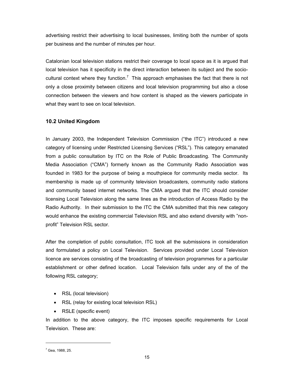advertising restrict their advertising to local businesses, limiting both the number of spots per business and the number of minutes per hour.

Catalonian local television stations restrict their coverage to local space as it is argued that local television has it specificity in the direct interaction between its subject and the sociocultural context where they function.<sup>7</sup> This approach emphasises the fact that there is not only a close proximity between citizens and local television programming but also a close connection between the viewers and how content is shaped as the viewers participate in what they want to see on local television.

#### **10.2 United Kingdom**

In January 2003, the Independent Television Commission ("the ITC") introduced a new category of licensing under Restricted Licensing Services ("RSL"). This category emanated from a public consultation by ITC on the Role of Public Broadcasting. The Community Media Association ("CMA") formerly known as the Community Radio Association was founded in 1983 for the purpose of being a mouthpiece for community media sector. Its membership is made up of community television broadcasters, community radio stations and community based internet networks. The CMA argued that the ITC should consider licensing Local Television along the same lines as the introduction of Access Radio by the Radio Authority. In their submission to the ITC the CMA submitted that this new category would enhance the existing commercial Television RSL and also extend diversity with "nonprofit" Television RSL sector.

After the completion of public consultation, ITC took all the submissions in consideration and formulated a policy on Local Television. Services provided under Local Television licence are services consisting of the broadcasting of television programmes for a particular establishment or other defined location. Local Television falls under any of the of the following RSL category;

- RSL (local television)
- RSL (relay for existing local television RSL)
- RSLE (specific event)

In addition to the above category, the ITC imposes specific requirements for Local Television. These are:

 $\overline{a}$ 

 $^7$  Gea, 1988, 25.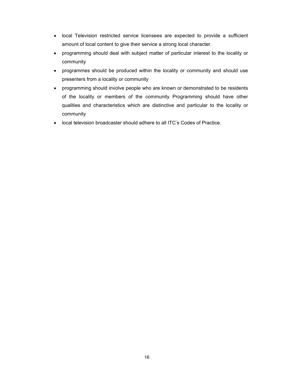- local Television restricted service licensees are expected to provide a sufficient amount of local content to give their service a strong local character.
- programming should deal with subject matter of particular interest to the locality or community
- programmes should be produced within the locality or community and should use presenters from a locality or community
- programming should involve people who are known or demonstrated to be residents of the locality or members of the community Programming should have other qualities and characteristics which are distinctive and particular to the locality or community
- local television broadcaster should adhere to all ITC's Codes of Practice.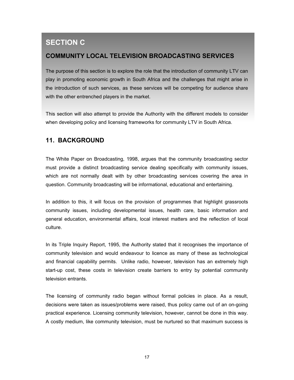# **SECTION C**

### **COMMUNITY LOCAL TELEVISION BROADCASTING SERVICES**

The purpose of this section is to explore the role that the introduction of community LTV can play in promoting economic growth in South Africa and the challenges that might arise in the introduction of such services, as these services will be competing for audience share with the other entrenched players in the market.

This section will also attempt to provide the Authority with the different models to consider when developing policy and licensing frameworks for community LTV in South Africa.

## **11. BACKGROUND**

The White Paper on Broadcasting, 1998, argues that the community broadcasting sector must provide a distinct broadcasting service dealing specifically with community issues, which are not normally dealt with by other broadcasting services covering the area in question. Community broadcasting will be informational, educational and entertaining.

In addition to this, it will focus on the provision of programmes that highlight grassroots community issues, including developmental issues, health care, basic information and general education, environmental affairs, local interest matters and the reflection of local culture.

In its Triple Inquiry Report, 1995, the Authority stated that it recognises the importance of community television and would endeavour to licence as many of these as technological and financial capability permits. Unlike radio, however, television has an extremely high start-up cost, these costs in television create barriers to entry by potential community television entrants.

The licensing of community radio began without formal policies in place. As a result, decisions were taken as issues/problems were raised, thus policy came out of an on-going practical experience. Licensing community television, however, cannot be done in this way. A costly medium, like community television, must be nurtured so that maximum success is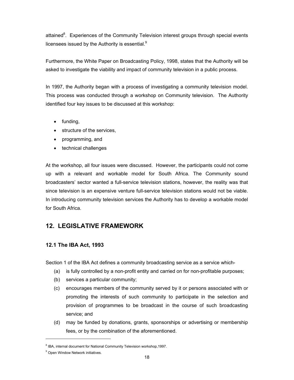attained<sup>8</sup>. Experiences of the Community Television interest groups through special events licensees issued by the Authority is essential.<sup>9</sup>

Furthermore, the White Paper on Broadcasting Policy, 1998, states that the Authority will be asked to investigate the viability and impact of community television in a public process.

In 1997, the Authority began with a process of investigating a community television model. This process was conducted through a workshop on Community television. The Authority identified four key issues to be discussed at this workshop:

- funding,
- structure of the services.
- programming, and
- technical challenges

At the workshop, all four issues were discussed. However, the participants could not come up with a relevant and workable model for South Africa. The Community sound broadcasters' sector wanted a full-service television stations, however, the reality was that since television is an expensive venture full-service television stations would not be viable. In introducing community television services the Authority has to develop a workable model for South Africa.

### **12. LEGISLATIVE FRAMEWORK**

#### **12.1 The IBA Act, 1993**

Section 1 of the IBA Act defines a community broadcasting service as a service which-

- (a) is fully controlled by a non-profit entity and carried on for non-profitable purposes;
- (b) services a particular community;
- (c) encourages members of the community served by it or persons associated with or promoting the interests of such community to participate in the selection and provision of programmes to be broadcast in the course of such broadcasting service; and
- (d) may be funded by donations, grants, sponsorships or advertising or membership fees, or by the combination of the aforementioned.

 $\overline{a}$ 

<sup>&</sup>lt;sup>8</sup> IBA, internal document for National Community Television workshop, 1997.

<sup>&</sup>lt;sup>9</sup> Open Window Network initiatives.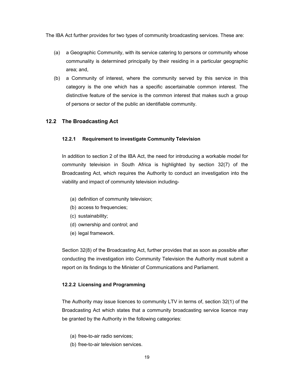The IBA Act further provides for two types of community broadcasting services. These are:

- (a) a Geographic Community, with its service catering to persons or community whose communality is determined principally by their residing in a particular geographic area; and,
- (b) a Community of interest, where the community served by this service in this category is the one which has a specific ascertainable common interest. The distinctive feature of the service is the common interest that makes such a group of persons or sector of the public an identifiable community.

#### **12.2 The Broadcasting Act**

#### **12.2.1 Requirement to investigate Community Television**

In addition to section 2 of the IBA Act, the need for introducing a workable model for community television in South Africa is highlighted by section 32(7) of the Broadcasting Act, which requires the Authority to conduct an investigation into the viability and impact of community television including-

- (a) definition of community television;
- (b) access to frequencies;
- (c) sustainability;
- (d) ownership and control; and
- (e) legal framework.

Section 32(8) of the Broadcasting Act, further provides that as soon as possible after conducting the investigation into Community Television the Authority must submit a report on its findings to the Minister of Communications and Parliament.

#### **12.2.2 Licensing and Programming**

The Authority may issue licences to community LTV in terms of, section 32(1) of the Broadcasting Act which states that a community broadcasting service licence may be granted by the Authority in the following categories:

- (a) free-to-air radio services;
- (b) free-to-air television services.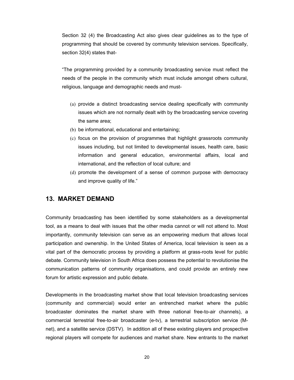Section 32 (4) the Broadcasting Act also gives clear guidelines as to the type of programming that should be covered by community television services. Specifically, section 32(4) states that-

"The programming provided by a community broadcasting service must reflect the needs of the people in the community which must include amongst others cultural, religious, language and demographic needs and must-

- (a) provide a distinct broadcasting service dealing specifically with community issues which are not normally dealt with by the broadcasting service covering the same area;
- (b) be informational, educational and entertaining;
- (c) focus on the provision of programmes that highlight grassroots community issues including, but not limited to developmental issues, health care, basic information and general education, environmental affairs, local and international, and the reflection of local culture; and
- (d) promote the development of a sense of common purpose with democracy and improve quality of life."

### **13. MARKET DEMAND**

Community broadcasting has been identified by some stakeholders as a developmental tool, as a means to deal with issues that the other media cannot or will not attend to. Most importantly, community television can serve as an empowering medium that allows local participation and ownership. In the United States of America, local television is seen as a vital part of the democratic process by providing a platform at grass-roots level for public debate. Community television in South Africa does possess the potential to revolutionise the communication patterns of community organisations, and could provide an entirely new forum for artistic expression and public debate.

Developments in the broadcasting market show that local television broadcasting services (community and commercial) would enter an entrenched market where the public broadcaster dominates the market share with three national free-to-air channels), a commercial terrestrial free-to-air broadcaster (e-tv), a terrestrial subscription service (Mnet), and a satellite service (DSTV). In addition all of these existing players and prospective regional players will compete for audiences and market share. New entrants to the market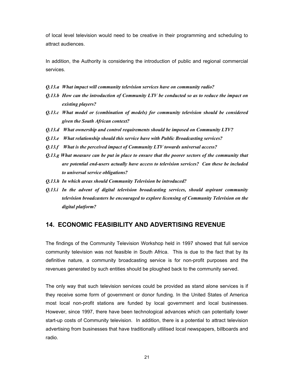of local level television would need to be creative in their programming and scheduling to attract audiences.

In addition, the Authority is considering the introduction of public and regional commercial services.

- *Q.13.a What impact will community television services have on community radio?*
- *Q.13.b How can the introduction of Community LTV be conducted so as to reduce the impact on existing players?*
- *Q.13.c What model or (combination of models) for community television should be considered given the South African context?*
- *Q.13.d What ownership and control requirements should be imposed on Community LTV?*
- *Q.13.e What relationship should this service have with Public Broadcasting services?*
- *Q.13.f What is the perceived impact of Community LTV towards universal access?*
- *Q.13.g What measure can be put in place to ensure that the poorer sectors of the community that are potential end-users actually have access to television services? Can these be included to universal service obligations?*
- *Q.13.h In which areas should Community Television be introduced?*
- *Q.13.i In the advent of digital television broadcasting services, should aspirant community television broadcasters be encouraged to explore licensing of Community Television on the digital platform?*

#### **14. ECONOMIC FEASIBILITY AND ADVERTISING REVENUE**

The findings of the Community Television Workshop held in 1997 showed that full service community television was not feasible in South Africa. This is due to the fact that by its definitive nature, a community broadcasting service is for non-profit purposes and the revenues generated by such entities should be ploughed back to the community served.

The only way that such television services could be provided as stand alone services is if they receive some form of government or donor funding. In the United States of America most local non-profit stations are funded by local government and local businesses. However, since 1997, there have been technological advances which can potentially lower start-up costs of Community television. In addition, there is a potential to attract television advertising from businesses that have traditionally utlilised local newspapers, billboards and radio.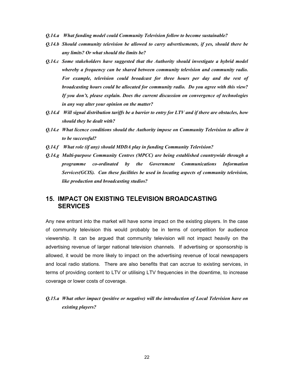- *Q.14.a What funding model could Community Television follow to become sustainable?*
- *Q.14.b Should community television be allowed to carry advertisements, if yes, should there be any limits? Or what should the limits be?*
- *Q.14.c Some stakeholders have suggested that the Authority should investigate a hybrid model whereby a frequency can be shared between community television and community radio. For example, television could broadcast for three hours per day and the rest of broadcasting hours could be allocated for community radio. Do you agree with this view? If you don't, please explain. Does the current discussion on convergence of technologies in any way alter your opinion on the matter?*
- *Q.14.d Will signal distribution tariffs be a barrier to entry for LTV and if there are obstacles, how should they be dealt with?*
- *Q.14.e What licence conditions should the Authority impose on Community Television to allow it to be successful?*
- *Q.14.f What role (if any) should MDDA play in funding Community Television?*
- *Q.14.g Multi-purpose Community Centres (MPCC) are being established countrywide through a programme co-ordinated by the Government Communications Information Services(GCIS). Can these facilities be used in locating aspects of community television, like production and broadcasting studios?*

### **15. IMPACT ON EXISTING TELEVISION BROADCASTING SERVICES**

Any new entrant into the market will have some impact on the existing players. In the case of community television this would probably be in terms of competition for audience viewership. It can be argued that community television will not impact heavily on the advertising revenue of larger national television channels. If advertising or sponsorship is allowed, it would be more likely to impact on the advertising revenue of local newspapers and local radio stations. There are also benefits that can accrue to existing services, in terms of providing content to LTV or utilising LTV frequencies in the downtime, to increase coverage or lower costs of coverage.

### *Q.15.a What other impact (positive or negative) will the introduction of Local Television have on existing players?*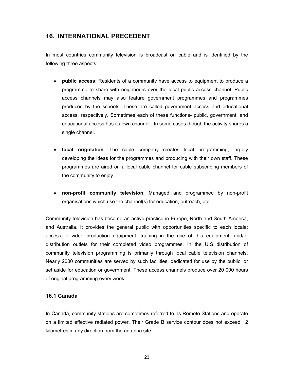### **16. INTERNATIONAL PRECEDENT**

In most countries community television is broadcast on cable and is identified by the following three aspects:

- **public access**: Residents of a community have access to equipment to produce a programme to share with neighbours over the local public access channel. Public access channels may also feature government programmes and programmes produced by the schools. These are called government access and educational access, respectively. Sometimes each of these functions- public, government, and educational access has its own channel. In some cases though the activity shares a single channel.
- **local origination**: The cable company creates local programming, largely developing the ideas for the programmes and producing with their own staff. These programmes are aired on a local cable channel for cable subscribing members of the community to enjoy.
- **non-profit community television**: Managed and programmed by non-profit organisations which use the channel(s) for education, outreach, etc.

Community television has become an active practice in Europe, North and South America, and Australia. It provides the general public with opportunities specific to each locale: access to video production equipment, training in the use of this equipment, and/or distribution outlets for their completed video programmes. In the U.S distribution of community television programming is primarily through local cable television channels. Nearly 2000 communities are served by such facilities, dedicated for use by the public, or set aside for education or government. These access channels produce over 20 000 hours of original programming every week.

#### **16.1 Canada**

In Canada, community stations are sometimes referred to as Remote Stations and operate on a limited effective radiated power. Their Grade B service contour does not exceed 12 kilometres in any direction from the antenna site.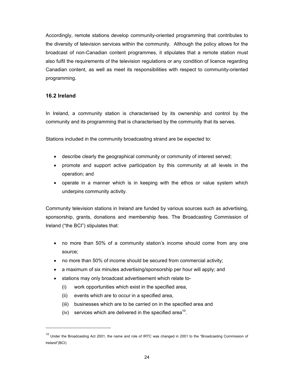Accordingly, remote stations develop community-oriented programming that contributes to the diversity of television services within the community. Although the policy allows for the broadcast of non-Canadian content programmes, it stipulates that a remote station must also fulfil the requirements of the television regulations or any condition of licence regarding Canadian content, as well as meet its responsibilities with respect to community-oriented programming.

#### **16.2 Ireland**

 $\overline{a}$ 

In Ireland, a community station is characterised by its ownership and control by the community and its programming that is characterised by the community that its serves.

Stations included in the community broadcasting strand are be expected to:

- describe clearly the geographical community or community of interest served;
- promote and support active participation by this community at all levels in the operation; and
- operate in a manner which is in keeping with the ethos or value system which underpins community activity.

Community television stations in Ireland are funded by various sources such as advertising, sponsorship, grants, donations and membership fees. The Broadcasting Commission of Ireland ("the BCI") stipulates that:

- no more than 50% of a community station's income should come from any one source;
- no more than 50% of income should be secured from commercial activity;
- a maximum of six minutes advertising/sponsorship per hour will apply; and
- stations may only broadcast advertisement which relate to-
	- (i) work opportunities which exist in the specified area,
	- (ii) events which are to occur in a specified area,
	- (iii) businesses which are to be carried on in the specified area and
	- (iv) services which are delivered in the specified area<sup>10</sup>.

<sup>&</sup>lt;sup>10</sup> Under the Broadcasting Act 2001, the name and role of IRTC was changed in 2001 to the "Broadcasting Commission of Ireland"(BCI)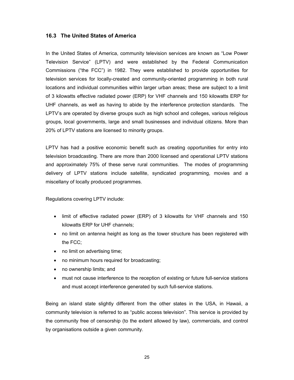#### **16.3 The United States of America**

In the United States of America, community television services are known as "Low Power Television Service" (LPTV) and were established by the Federal Communication Commissions ("the FCC") in 1982. They were established to provide opportunities for television services for locally-created and community-oriented programming in both rural locations and individual communities within larger urban areas; these are subject to a limit of 3 kilowatts effective radiated power (ERP) for VHF channels and 150 kilowatts ERP for UHF channels, as well as having to abide by the interference protection standards. The LPTV's are operated by diverse groups such as high school and colleges, various religious groups, local governments, large and small businesses and individual citizens. More than 20% of LPTV stations are licensed to minority groups.

LPTV has had a positive economic benefit such as creating opportunities for entry into television broadcasting. There are more than 2000 licensed and operational LPTV stations and approximately 75% of these serve rural communities. The modes of programming delivery of LPTV stations include satellite, syndicated programming, movies and a miscellany of locally produced programmes.

Regulations covering LPTV include:

- limit of effective radiated power (ERP) of 3 kilowatts for VHF channels and 150 kilowatts ERP for UHF channels;
- no limit on antenna height as long as the tower structure has been registered with the FCC;
- no limit on advertising time;
- no minimum hours required for broadcasting;
- no ownership limits; and
- must not cause interference to the reception of existing or future full-service stations and must accept interference generated by such full-service stations.

Being an island state slightly different from the other states in the USA, in Hawaii, a community television is referred to as "public access television". This service is provided by the community free of censorship (to the extent allowed by law), commercials, and control by organisations outside a given community.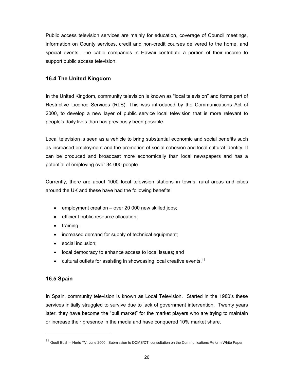Public access television services are mainly for education, coverage of Council meetings, information on County services, credit and non-credit courses delivered to the home, and special events. The cable companies in Hawaii contribute a portion of their income to support public access television.

#### **16.4 The United Kingdom**

In the United Kingdom, community television is known as "local television" and forms part of Restrictive Licence Services (RLS). This was introduced by the Communications Act of 2000, to develop a new layer of public service local television that is more relevant to people's daily lives than has previously been possible.

Local television is seen as a vehicle to bring substantial economic and social benefits such as increased employment and the promotion of social cohesion and local cultural identity. It can be produced and broadcast more economically than local newspapers and has a potential of employing over 34 000 people.

Currently, there are about 1000 local television stations in towns, rural areas and cities around the UK and these have had the following benefits:

- employment creation over 20 000 new skilled jobs;
- efficient public resource allocation;
- training;
- increased demand for supply of technical equipment;
- social inclusion;
- local democracy to enhance access to local issues; and
- cultural outlets for assisting in showcasing local creative events.<sup>11</sup>

#### **16.5 Spain**

 $\overline{a}$ 

In Spain, community television is known as Local Television. Started in the 1980's these services initially struggled to survive due to lack of government intervention. Twenty years later, they have become the "bull market" for the market players who are trying to maintain or increase their presence in the media and have conquered 10% market share.

<sup>&</sup>lt;sup>11</sup> Geoff Bush – Herts TV. June 2000. Submission to DCMS/DTI consultation on the Communications Reform White Paper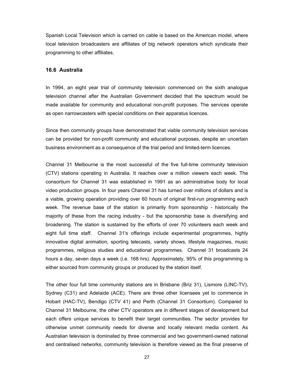Spanish Local Television which is carried on cable is based on the American model, where local television broadcasters are affiliates of big network operators which syndicate their programming to other affiliates.

#### **16.6 Australia**

In 1994, an eight year trial of community television commenced on the sixth analogue television channel after the Australian Government decided that the spectrum would be made available for community and educational non-profit purposes. The services operate as open narrowcasters with special conditions on their apparatus licences.

Since then community groups have demonstrated that viable community television services can be provided for non-profit community and educational purposes, despite an uncertain business environment as a consequence of the trial period and limited-term licences.

Channel 31 Melbourne is the most successful of the five full-time community television (CTV) stations operating in Australia. It reaches over a million viewers each week. The consortium for Channel 31 was established in 1991 as an administrative body for local video production groups. In four years Channel 31 has turned over millions of dollars and is a viable, growing operation providing over 60 hours of original first-run programming each week. The revenue base of the station is primarily from sponsorship - historically the majority of these from the racing industry - but the sponsorship base is diversifying and broadening. The station is sustained by the efforts of over 70 volunteers each week and eight full time staff. Channel 31's offerings include experimental programmes, highly innovative digital animation, sporting telecasts, variety shows, lifestyle magazines, music programmes, religious studies and educational programmes. Channel 31 broadcasts 24 hours a day, seven days a week (i.e. 168 hrs). Approximately, 95% of this programming is either sourced from community groups or produced by the station itself.

The other four full time community stations are in Brisbane (Briz 31), Lismore (LINC-TV), Sydney (C31) and Adelaide (ACE). There are three other licensees yet to commence in Hobart (HAC-TV), Bendigo (CTV 41) and Perth (Channel 31 Consortium). Compared to Channel 31 Melbourne, the other CTV operators are in different stages of development but each offers unique services to benefit their target communities. The sector provides for otherwise unmet community needs for diverse and locally relevant media content. As Australian television is dominated by three commercial and two government-owned national and centralised networks, community television is therefore viewed as the final preserve of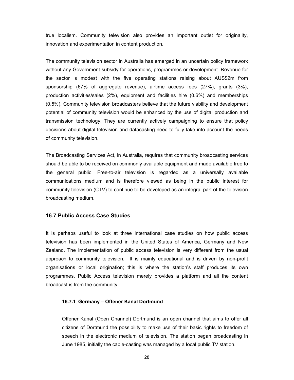true localism. Community television also provides an important outlet for originality, innovation and experimentation in content production.

The community television sector in Australia has emerged in an uncertain policy framework without any Government subsidy for operations, programmes or development. Revenue for the sector is modest with the five operating stations raising about AUS\$2m from sponsorship (67% of aggregate revenue), airtime access fees (27%), grants (3%), production activities/sales (2%), equipment and facilities hire (0.6%) and memberships (0.5%). Community television broadcasters believe that the future viability and development potential of community television would be enhanced by the use of digital production and transmission technology. They are currently actively campaigning to ensure that policy decisions about digital television and datacasting need to fully take into account the needs of community television.

The Broadcasting Services Act, in Australia, requires that community broadcasting services should be able to be received on commonly available equipment and made available free to the general public. Free-to-air television is regarded as a universally available communications medium and is therefore viewed as being in the public interest for community television (CTV) to continue to be developed as an integral part of the television broadcasting medium.

#### **16.7 Public Access Case Studies**

It is perhaps useful to look at three international case studies on how public access television has been implemented in the United States of America, Germany and New Zealand. The implementation of public access television is very different from the usual approach to community television. It is mainly educational and is driven by non-profit organisations or local origination; this is where the station's staff produces its own programmes. Public Access television merely provides a platform and all the content broadcast is from the community.

#### **16.7.1 Germany – Offener Kanal Dortmund**

Offener Kanal (Open Channel) Dortmund is an open channel that aims to offer all citizens of Dortmund the possibility to make use of their basic rights to freedom of speech in the electronic medium of television. The station began broadcasting in June 1985, initially the cable-casting was managed by a local public TV station.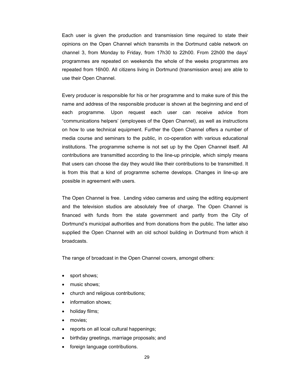Each user is given the production and transmission time required to state their opinions on the Open Channel which transmits in the Dortmund cable network on channel 3, from Monday to Friday, from 17h30 to 22h00. From 22h00 the days' programmes are repeated on weekends the whole of the weeks programmes are repeated from 16h00. All citizens living in Dortmund (transmission area) are able to use their Open Channel.

Every producer is responsible for his or her programme and to make sure of this the name and address of the responsible producer is shown at the beginning and end of each programme. Upon request each user can receive advice from "communications helpers' (employees of the Open Channel), as well as instructions on how to use technical equipment. Further the Open Channel offers a number of media course and seminars to the public, in co-operation with various educational institutions. The programme scheme is not set up by the Open Channel itself. All contributions are transmitted according to the line-up principle, which simply means that users can choose the day they would like their contributions to be transmitted. It is from this that a kind of programme scheme develops. Changes in line-up are possible in agreement with users.

The Open Channel is free. Lending video cameras and using the editing equipment and the television studios are absolutely free of charge. The Open Channel is financed with funds from the state government and partly from the City of Dortmund's municipal authorities and from donations from the public. The latter also supplied the Open Channel with an old school building in Dortmund from which it broadcasts.

The range of broadcast in the Open Channel covers, amongst others:

- sport shows;
- music shows;
- church and religious contributions;
- information shows:
- holiday films;
- movies;
- reports on all local cultural happenings;
- birthday greetings, marriage proposals; and
- foreign language contributions.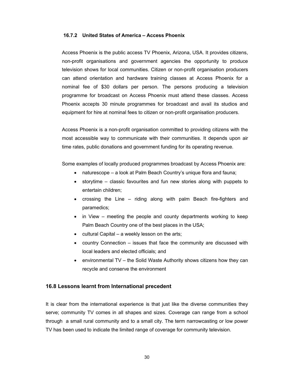#### **16.7.2 United States of America – Access Phoenix**

Access Phoenix is the public access TV Phoenix, Arizona, USA. It provides citizens, non-profit organisations and government agencies the opportunity to produce television shows for local communities. Citizen or non-profit organisation producers can attend orientation and hardware training classes at Access Phoenix for a nominal fee of \$30 dollars per person. The persons producing a television programme for broadcast on Access Phoenix must attend these classes. Access Phoenix accepts 30 minute programmes for broadcast and avail its studios and equipment for hire at nominal fees to citizen or non-profit organisation producers.

Access Phoenix is a non-profit organisation committed to providing citizens with the most accessible way to communicate with their communities. It depends upon air time rates, public donations and government funding for its operating revenue.

Some examples of locally produced programmes broadcast by Access Phoenix are:

- naturescope a look at Palm Beach Country's unique flora and fauna;
- storytime classic favourites and fun new stories along with puppets to entertain children;
- crossing the Line riding along with palm Beach fire-fighters and paramedics;
- in View meeting the people and county departments working to keep Palm Beach Country one of the best places in the USA;
- cultural Capital a weekly lesson on the arts;
- country Connection issues that face the community are discussed with local leaders and elected officials; and
- environmental TV the Solid Waste Authority shows citizens how they can recycle and conserve the environment

#### **16.8 Lessons learnt from International precedent**

It is clear from the international experience is that just like the diverse communities they serve; community TV comes in all shapes and sizes. Coverage can range from a school through a small rural community and to a small city. The term narrowcasting or low power TV has been used to indicate the limited range of coverage for community television.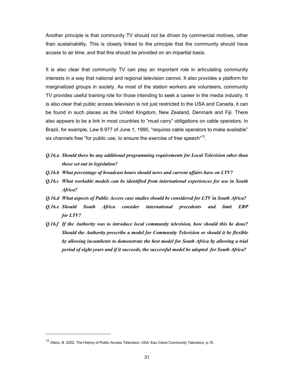Another principle is that community TV should not be driven by commercial motives, other than sustainability. This is closely linked to the principle that the community should have access to air time, and that this should be provided on an impartial basis.

It is also clear that community TV can play an important role in articulating community interests in a way that national and regional television cannot. It also provides a platform for marginalized groups in society. As most of the station workers are volunteers, community TV provides useful training role for those intending to seek a career in the media industry. It is also clear that public access television is not just restricted to the USA and Canada, it can be found in such places as the United Kingdom, New Zealand, Denmark and Fiji. There also appears to be a link in most countries to "must carry" obligations on cable operators. In Brazil, for example, Law 8.977 of June 1, 1995, "requires cable operators to make available" six channels free "for public use, to ensure the exercise of free speech"<sup>12</sup>.

- *Q.16.a Should there be any additional programming requirements for Local Television other than those set out in legislation?*
- *Q.16.b What percentage of broadcast hours should news and current affairs have on LTV?*
- *Q.16.c What workable models can be identified from international experiences for use in South Africa?*
- *Q.16.d What aspects of Public Access case studies should be considered for LTV in South Africa?*
- *Q.16.e Should South Africa consider international precedents and limit ERP for LTV?*
- *Q.16.f If the Authority was to introduce local community television, how should this be done? Should the Authority prescribe a model for Community Television or should it be flexible by allowing incumbents to demonstrate the best model for South Africa by allowing a trial period of eight years and if it succeeds, the successful model be adopted for South Africa?*

 $\overline{a}$ 

<sup>&</sup>lt;sup>12</sup> Olson, B. 2002. The Histroy of Public Access Television. USA: Eau Claire Community Television, p.10.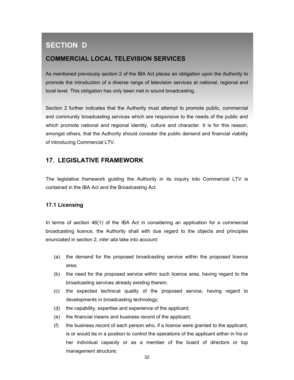# **SECTION D**

### **COMMERCIAL LOCAL TELEVISION SERVICES**

As mentioned previously section 2 of the IBA Act places an obligation upon the Authority to promote the introduction of a diverse range of television services at national, regional and local level. This obligation has only been met in sound broadcasting.

Section 2 further indicates that the Authority must attempt to promote public, commercial and community broadcasting services which are responsive to the needs of the public and which promote national and regional identity, culture and character. It is for this reason, amongst others, that the Authority should consider the public demand and financial viability of introducing Commercial LTV.

### **17. LEGISLATIVE FRAMEWORK**

The legislative framework guiding the Authority in its inquiry into Commercial LTV is contained in the IBA Act and the Broadcasting Act.

#### **17.1 Licensing**

In terms of section 46(1) of the IBA Act in considering an application for a commercial broadcasting licence, the Authority shall with due regard to the objects and principles enunciated in section 2, *inter alia* take into account:

- (a) the demand for the proposed broadcasting service within the proposed licence area;
- (b) the need for the proposed service within such licence area, having regard to the broadcasting services already existing therein;
- (c) the expected technical quality of the proposed service, having regard to developments in broadcasting technology;
- (d) the capability, expertise and experience of the applicant;
- (e) the financial means and business record of the applicant;
- (f) the business record of each person who, if a licence were granted to the applicant, is or would be in a position to control the operations of the applicant either in his or her individual capacity or as a member of the board of directors or top management structure;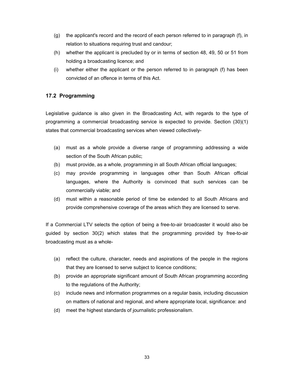- (g) the applicant's record and the record of each person referred to in paragraph (f), in relation to situations requiring trust and candour;
- (h) whether the applicant is precluded by or in terms of section 48, 49, 50 or 51 from holding a broadcasting licence; and
- (i) whether either the applicant or the person referred to in paragraph (f) has been convicted of an offence in terms of this Act.

### **17.2 Programming**

Legislative guidance is also given in the Broadcasting Act, with regards to the type of programming a commercial broadcasting service is expected to provide. Section (30)(1) states that commercial broadcasting services when viewed collectively-

- (a) must as a whole provide a diverse range of programming addressing a wide section of the South African public;
- (b) must provide, as a whole, programming in all South African official languages;
- (c) may provide programming in languages other than South African official languages, where the Authority is convinced that such services can be commercially viable; and
- (d) must within a reasonable period of time be extended to all South Africans and provide comprehensive coverage of the areas which they are licensed to serve.

If a Commercial LTV selects the option of being a free-to-air broadcaster it would also be guided by section 30(2) which states that the programming provided by free-to-air broadcasting must as a whole-

- (a) reflect the culture, character, needs and aspirations of the people in the regions that they are licensed to serve subject to licence conditions;
- (b) provide an appropriate significant amount of South African programming according to the regulations of the Authority;
- (c) include news and information programmes on a regular basis, including discussion on matters of national and regional, and where appropriate local, significance: and
- (d) meet the highest standards of journalistic professionalism.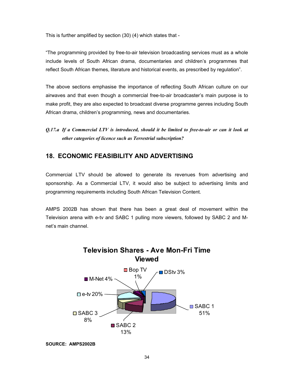This is further amplified by section (30) (4) which states that -

"The programming provided by free-to-air television broadcasting services must as a whole include levels of South African drama, documentaries and children's programmes that reflect South African themes, literature and historical events, as prescribed by regulation".

The above sections emphasise the importance of reflecting South African culture on our airwaves and that even though a commercial free-to-air broadcaster's main purpose is to make profit, they are also expected to broadcast diverse programme genres including South African drama, children's programming, news and documentaries.

*Q.17.a If a Commercial LTV is introduced, should it be limited to free-to-air or can it look at other categories of licence such as Terrestrial subscription?* 

### **18. ECONOMIC FEASIBILITY AND ADVERTISING**

Commercial LTV should be allowed to generate its revenues from advertising and sponsorship. As a Commercial LTV, it would also be subject to advertising limits and programming requirements including South African Television Content.

AMPS 2002B has shown that there has been a great deal of movement within the Television arena with e-tv and SABC 1 pulling more viewers, followed by SABC 2 and Mnet's main channel.



**SOURCE: AMPS2002B**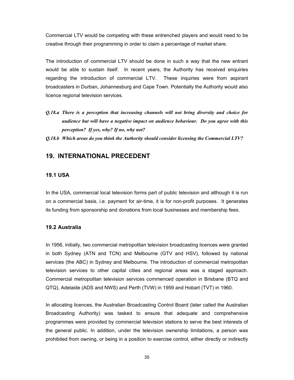Commercial LTV would be competing with these entrenched players and would need to be creative through their programming in order to claim a percentage of market share.

The introduction of commercial LTV should be done in such a way that the new entrant would be able to sustain itself. In recent years, the Authority has received enquiries regarding the introduction of commercial LTV. These inquiries were from aspirant broadcasters in Durban, Johannesburg and Cape Town. Potentially the Authority would also licence regional television services.

*Q.18.a There is a perception that increasing channels will not bring diversity and choice for audience but will have a negative impact on audience behaviour. Do you agree with this perception? If yes, why? If no, why not?* 

### **19. INTERNATIONAL PRECEDENT**

#### **19.1 USA**

In the USA, commercial local television forms part of public television and although it is run on a commercial basis, i.e. payment for air-time, it is for non-profit purposes. It generates its funding from sponsorship and donations from local businesses and membership fees.

#### **19.2 Australia**

In 1956, initially, two commercial metropolitan television broadcasting licences were granted in both Sydney (ATN and TCN) and Melbourne (GTV and HSV), followed by national services (the ABC) in Sydney and Melbourne. The introduction of commercial metropolitan television services to other capital cities and regional areas was a staged approach. Commercial metropolitan television services commenced operation in Brisbane (BTQ and QTQ), Adelaide (ADS and NWS) and Perth (TVW) in 1959 and Hobart (TVT) in 1960.

In allocating licences, the Australian Broadcasting Control Board (later called the Australian Broadcasting Authority) was tasked to ensure that adequate and comprehensive programmes were provided by commercial television stations to serve the best interests of the general public. In addition, under the television ownership limitations, a person was prohibited from owning, or being in a position to exercise control, either directly or indirectly

*Q.18.b Which areas do you think the Authority should consider licensing the Commercial LTV?*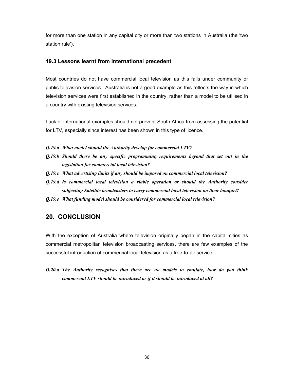for more than one station in any capital city or more than two stations in Australia (the 'two station rule').

#### **19.3 Lessons learnt from international precedent**

Most countries do not have commercial local television as this falls under community or public television services. Australia is not a good example as this reflects the way in which television services were first established in the country, rather than a model to be utilised in a country with existing television services.

Lack of international examples should not prevent South Africa from assessing the potential for LTV, especially since interest has been shown in this type of licence.

- *Q.19.a What model should the Authority develop for commercial LTV?*
- *Q.19.b Should there be any specific programming requirements beyond that set out in the legislation for commercial local television?*
- *Q.19.c What advertising limits if any should be imposed on commercial local television?*
- *Q.19.d Is commercial local television a viable operation or should the Authority consider subjecting Satellite broadcasters to carry commercial local television on their bouquet?*
- *Q.19.e What funding model should be considered for commercial local television?*

### **20. CONCLUSION**

With the exception of Australia where television originally began in the capital cities as commercial metropolitan television broadcasting services, there are few examples of the successful introduction of commercial local television as a free-to-air service.

*Q.20.a The Authority recognises that there are no models to emulate, how do you think commercial LTV should be introduced or if it should be introduced at all?*